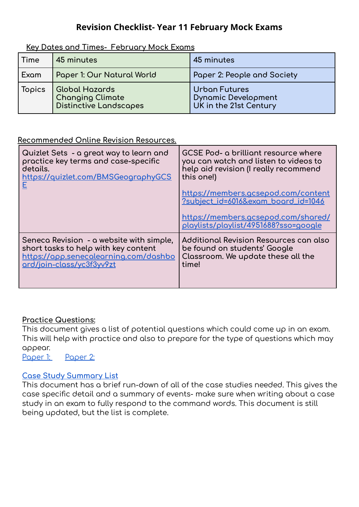## **Revision Checklist- Year 11 February Mock Exams**

**Key Dates and Times- February Mock Exams**

| Time   | 45 minutes                                                                 | 45 minutes                                                                   |
|--------|----------------------------------------------------------------------------|------------------------------------------------------------------------------|
| Exam   | Paper 1: Our Natural World                                                 | Paper 2: People and Society                                                  |
| Topics | Global Hazards<br><b>Changing Climate</b><br><b>Distinctive Landscapes</b> | <b>Urban Futures</b><br><b>Dynamic Development</b><br>UK in the 21st Century |

## **Recommended Online Revision Resources.**

| Quizlet Sets - a great way to learn and<br>practice key terms and case-specific<br>details.<br>https://quizlet.com/BMSGeographyGCS | GCSE Pod- a brilliant resource where<br>you can watch and listen to videos to<br>help aid revision (I really recommend<br>this one!)<br>https://members.gcsepod.com/content<br>?subject_id=6016&exam_board_id=1046<br>https://members.gcsepod.com/shared/<br>playlists/playlist/4951688?sso=google |
|------------------------------------------------------------------------------------------------------------------------------------|----------------------------------------------------------------------------------------------------------------------------------------------------------------------------------------------------------------------------------------------------------------------------------------------------|
| Seneca Revision - a website with simple,                                                                                           | Additional Revision Resources can also                                                                                                                                                                                                                                                             |
| short tasks to help with key content                                                                                               | be found on students' Google                                                                                                                                                                                                                                                                       |
| https://app.senecalearning.com/dashbo                                                                                              | Classroom. We update these all the                                                                                                                                                                                                                                                                 |
| ard/join-class/yc3f3yv9zt                                                                                                          | time!                                                                                                                                                                                                                                                                                              |

## **Practice Questions:**

This document gives a list of potential questions which could come up in an exam. This will help with practice and also to prepare for the type of questions which may appear.

[Paper](https://docs.google.com/document/d/1BbkYKdCoF0P-CSdECIIaWig_TSSD7B8jxuWXsxJesQo/edit#heading=h.2f59xwyngyd1) 1: Paper 2:

## **Case Study [Summary](https://docs.google.com/presentation/d/1TV8tnruJIUcZ9klJVSoxQcc2VWCfxwWXMpd_OwI_j00/edit#slide=id.gd0c9f7ad5a_0_51) List**

This document has a brief run-down of all of the case studies needed. This gives the case specific detail and a summary of events- make sure when writing about a case study in an exam to fully respond to the command words. This document is still being updated, but the list is complete.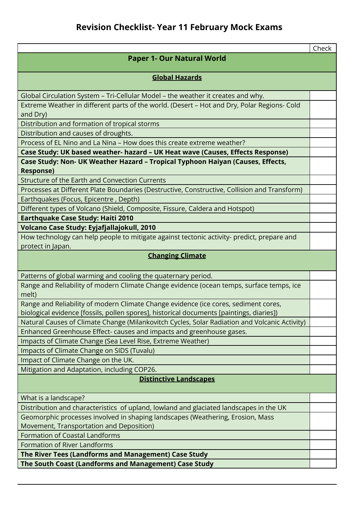|                                                                                                                 | Check |  |  |  |
|-----------------------------------------------------------------------------------------------------------------|-------|--|--|--|
| <b>Paper 1- Our Natural World</b>                                                                               |       |  |  |  |
|                                                                                                                 |       |  |  |  |
| <b>Global Hazards</b>                                                                                           |       |  |  |  |
|                                                                                                                 |       |  |  |  |
| Global Circulation System - Tri-Cellular Model - the weather it creates and why.                                |       |  |  |  |
| Extreme Weather in different parts of the world. (Desert - Hot and Dry, Polar Regions- Cold                     |       |  |  |  |
| and Dry)                                                                                                        |       |  |  |  |
| Distribution and formation of tropical storms                                                                   |       |  |  |  |
| Distribution and causes of droughts.                                                                            |       |  |  |  |
| Process of EL Nino and La Nina - How does this create extreme weather?                                          |       |  |  |  |
| Case Study: UK based weather- hazard - UK Heat wave (Causes, Effects Response)                                  |       |  |  |  |
| Case Study: Non- UK Weather Hazard - Tropical Typhoon Haiyan (Causes, Effects,                                  |       |  |  |  |
| <b>Response)</b><br>Structure of the Earth and Convection Currents                                              |       |  |  |  |
|                                                                                                                 |       |  |  |  |
| Processes at Different Plate Boundaries (Destructive, Constructive, Collision and Transform)                    |       |  |  |  |
| Earthquakes (Focus, Epicentre, Depth)                                                                           |       |  |  |  |
| Different types of Volcano (Shield, Composite, Fissure, Caldera and Hotspot)                                    |       |  |  |  |
| <b>Earthquake Case Study: Haiti 2010</b>                                                                        |       |  |  |  |
| Volcano Case Study: Eyjafjallajokull, 2010                                                                      |       |  |  |  |
| How technology can help people to mitigate against tectonic activity- predict, prepare and<br>protect in Japan. |       |  |  |  |
| <b>Changing Climate</b>                                                                                         |       |  |  |  |
|                                                                                                                 |       |  |  |  |
| Patterns of global warming and cooling the quaternary period.                                                   |       |  |  |  |
| Range and Reliability of modern Climate Change evidence (ocean temps, surface temps, ice                        |       |  |  |  |
| melt)                                                                                                           |       |  |  |  |
| Range and Reliability of modern Climate Change evidence (ice cores, sediment cores,                             |       |  |  |  |
| biological evidence [fossils, pollen spores], historical documents [paintings, diaries])                        |       |  |  |  |
| Natural Causes of Climate Change (Milankovitch Cycles, Solar Radiation and Volcanic Activity)                   |       |  |  |  |
| Enhanced Greenhouse Effect- causes and impacts and greenhouse gases.                                            |       |  |  |  |
| Impacts of Climate Change (Sea Level Rise, Extreme Weather)                                                     |       |  |  |  |
| Impacts of Climate Change on SIDS (Tuvalu)                                                                      |       |  |  |  |
| Impact of Climate Change on the UK.                                                                             |       |  |  |  |
| Mitigation and Adaptation, including COP26.                                                                     |       |  |  |  |
| <b>Distinctive Landscapes</b>                                                                                   |       |  |  |  |
| What is a landscape?                                                                                            |       |  |  |  |
| Distribution and characteristics of upland, lowland and glaciated landscapes in the UK                          |       |  |  |  |
| Geomorphic processes involved in shaping landscapes (Weathering, Erosion, Mass                                  |       |  |  |  |
| Movement, Transportation and Deposition)                                                                        |       |  |  |  |
| <b>Formation of Coastal Landforms</b>                                                                           |       |  |  |  |
| <b>Formation of River Landforms</b>                                                                             |       |  |  |  |
| The River Tees (Landforms and Management) Case Study                                                            |       |  |  |  |
| The South Coast (Landforms and Management) Case Study                                                           |       |  |  |  |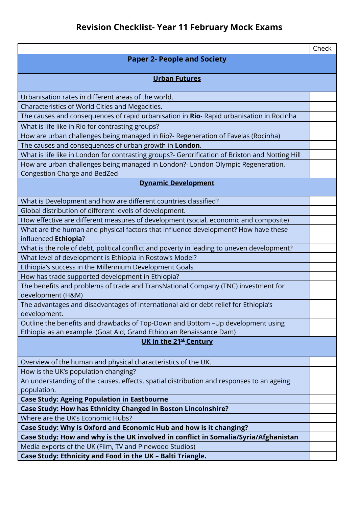|                                                                                                                        | Check |  |  |  |
|------------------------------------------------------------------------------------------------------------------------|-------|--|--|--|
| <b>Paper 2- People and Society</b>                                                                                     |       |  |  |  |
| <b>Urban Futures</b>                                                                                                   |       |  |  |  |
|                                                                                                                        |       |  |  |  |
| Urbanisation rates in different areas of the world.                                                                    |       |  |  |  |
| Characteristics of World Cities and Megacities.                                                                        |       |  |  |  |
| The causes and consequences of rapid urbanisation in Rio- Rapid urbanisation in Rocinha                                |       |  |  |  |
| What is life like in Rio for contrasting groups?                                                                       |       |  |  |  |
| How are urban challenges being managed in Rio?- Regeneration of Favelas (Rocinha)                                      |       |  |  |  |
| The causes and consequences of urban growth in London.                                                                 |       |  |  |  |
| What is life like in London for contrasting groups?- Gentrification of Brixton and Notting Hill                        |       |  |  |  |
| How are urban challenges being managed in London?- London Olympic Regeneration,<br><b>Congestion Charge and BedZed</b> |       |  |  |  |
| <b>Dynamic Development</b>                                                                                             |       |  |  |  |
|                                                                                                                        |       |  |  |  |
| What is Development and how are different countries classified?                                                        |       |  |  |  |
| Global distribution of different levels of development.                                                                |       |  |  |  |
| How effective are different measures of development (social, economic and composite)                                   |       |  |  |  |
| What are the human and physical factors that influence development? How have these                                     |       |  |  |  |
| influenced Ethiopia?                                                                                                   |       |  |  |  |
| What is the role of debt, political conflict and poverty in leading to uneven development?                             |       |  |  |  |
| What level of development is Ethiopia in Rostow's Model?                                                               |       |  |  |  |
| Ethiopia's success in the Millennium Development Goals                                                                 |       |  |  |  |
| How has trade supported development in Ethiopia?                                                                       |       |  |  |  |
| The benefits and problems of trade and TransNational Company (TNC) investment for<br>development (H&M)                 |       |  |  |  |
| The advantages and disadvantages of international aid or debt relief for Ethiopia's<br>development.                    |       |  |  |  |
| Outline the benefits and drawbacks of Top-Down and Bottom -Up development using                                        |       |  |  |  |
| Ethiopia as an example. (Goat Aid, Grand Ethiopian Renaissance Dam)                                                    |       |  |  |  |
| UK in the 21 <sup>st</sup> Century                                                                                     |       |  |  |  |
| Overview of the human and physical characteristics of the UK.                                                          |       |  |  |  |
| How is the UK's population changing?                                                                                   |       |  |  |  |
| An understanding of the causes, effects, spatial distribution and responses to an ageing                               |       |  |  |  |
| population.                                                                                                            |       |  |  |  |
| <b>Case Study: Ageing Population in Eastbourne</b>                                                                     |       |  |  |  |
| Case Study: How has Ethnicity Changed in Boston Lincolnshire?                                                          |       |  |  |  |
| Where are the UK's Economic Hubs?                                                                                      |       |  |  |  |
| Case Study: Why is Oxford and Economic Hub and how is it changing?                                                     |       |  |  |  |
| Case Study: How and why is the UK involved in conflict in Somalia/Syria/Afghanistan                                    |       |  |  |  |
| Media exports of the UK (Film, TV and Pinewood Studios)                                                                |       |  |  |  |
| Case Study: Ethnicity and Food in the UK - Balti Triangle.                                                             |       |  |  |  |